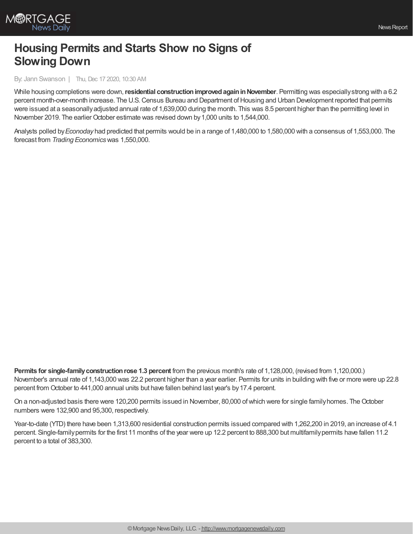

## **Housing Permits and Starts Show no Signs of Slowing Down**

By: Jann Swanson | Thu, Dec 17 2020, 10:30 AM

While housing completions were down, residential construction improved again in November. Permitting was especially strong with a 6.2 percent month-over-month increase. The U.S. Census Bureau and Department of Housing and Urban Development reported that permits were issued at a seasonallyadjusted annual rate of 1,639,000 during the month. This was 8.5 percent higher than the permitting level in November 2019. The earlier October estimate was revised down by 1,000 units to 1,544,000.

Analysts polled by*Econoday* had predicted that permits would be in a range of 1,480,000 to 1,580,000 with a consensus of 1,553,000. The forecast from *Trading Economics*was 1,550,000.

**Permits for single-familyconstructionrose 1.3 percent** from the previous month's rate of 1,128,000, (revised from 1,120,000.) November's annual rate of 1,143,000 was 22.2 percent higher than a year earlier. Permits for units in building with five or more were up 22.8 percent from October to 441,000 annual units but have fallen behind last year's by17.4 percent.

On a non-adjusted basis there were 120,200 permits issued in November, 80,000 of which were for single family homes. The October numbers were 132,900 and 95,300, respectively.

Year-to-date (YTD) there have been 1,313,600 residential construction permits issued compared with 1,262,200 in 2019, an increase of 4.1 percent. Single-familypermits for the first 11 months of the year were up 12.2 percent to 888,300 but multifamilypermits have fallen 11.2 percent to a total of 383,300.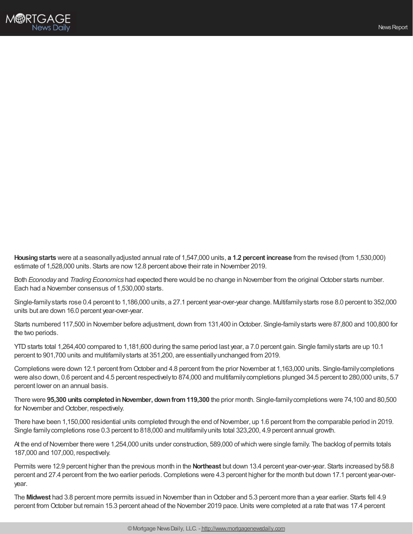

**Housingstarts** were at a seasonallyadjusted annual rate of 1,547,000 units, **a 1.2 percent increase** from the revised (from 1,530,000) estimate of 1,528,000 units. Starts are now12.8 percent above their rate in November 2019.

Both *Econoday* and *Trading Economics* had expected there would be no change in November from the original October starts number. Each had a November consensus of 1,530,000 starts.

Single-familystarts rose 0.4 percent to 1,186,000 units, a 27.1 percent year-over-year change. Multifamilystarts rose 8.0 percent to 352,000 units but are down 16.0 percent year-over-year.

Starts numbered 117,500 in November before adjustment, down from 131,400 in October. Single-family starts were 87,800 and 100,800 for the two periods.

YTDstarts total 1,264,400 compared to 1,181,600 during the same period last year, a 7.0 percent gain. Single familystarts are up 10.1 percent to 901,700 units and multifamilystarts at 351,200, are essentiallyunchanged from 2019.

Completions were down 12.1 percent from October and 4.8 percent from the prior November at 1,163,000 units. Single-familycompletions were also down, 0.6 percent and 4.5 percent respectivelyto 874,000 and multifamilycompletions plunged 34.5 percent to 280,000 units, 5.7 percent lower on an annual basis.

There were **95,300 units completedinNovember, downfrom119,300** the prior month. Single-familycompletions were 74,100 and 80,500 for November and October, respectively.

There have been 1,150,000 residential units completed through the end of November, up 1.6 percent from the comparable period in 2019. Single familycompletions rose 0.3 percent to 818,000 and multifamilyunits total 323,200, 4.9 percent annual growth.

At the end of November there were 1,254,000 units under construction, 589,000 of which were single family. The backlog of permits totals 187,000 and 107,000, respectively.

Permits were 12.9 percent higher than the previous month in the **Northeast** but down 13.4 percent year-over-year. Starts increased by58.8 percent and 27.4 percent from the two earlier periods. Completions were 4.3 percent higher for the month but down 17.1 percent year-overyear.

The Midwest had 3.8 percent more permits issued in November than in October and 5.3 percent more than a year earlier. Starts fell 4.9 percent from October but remain 15.3 percent ahead of the November 2019 pace. Units were completed at a rate that was 17.4 percent